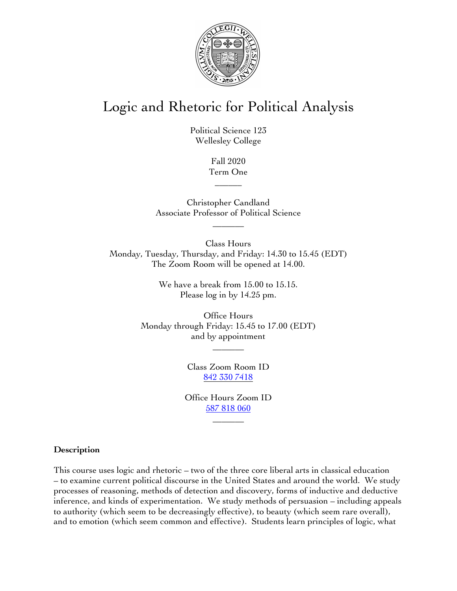

# Logic and Rhetoric for Political Analysis

Political Science 123 Wellesley College

> Fall 2020 Term One

> > $\overline{\phantom{a}}$

Christopher Candland Associate Professor of Political Science

 $\overline{\phantom{a}}$ 

Class Hours Monday, Tuesday, Thursday, and Friday: 14.30 to 15.45 (EDT) The Zoom Room will be opened at 14.00.

> We have a break from 15.00 to 15.15. Please log in by 14.25 pm.

Office Hours Monday through Friday: 15.45 to 17.00 (EDT) and by appointment

\_\_\_\_\_\_\_

Class Zoom Room ID 842 330 7418

Office Hours Zoom ID 587 818 060

 $\overline{\phantom{a}}$ 

### **Description**

This course uses logic and rhetoric – two of the three core liberal arts in classical education – to examine current political discourse in the United States and around the world. We study processes of reasoning, methods of detection and discovery, forms of inductive and deductive inference, and kinds of experimentation. We study methods of persuasion – including appeals to authority (which seem to be decreasingly effective), to beauty (which seem rare overall), and to emotion (which seem common and effective). Students learn principles of logic, what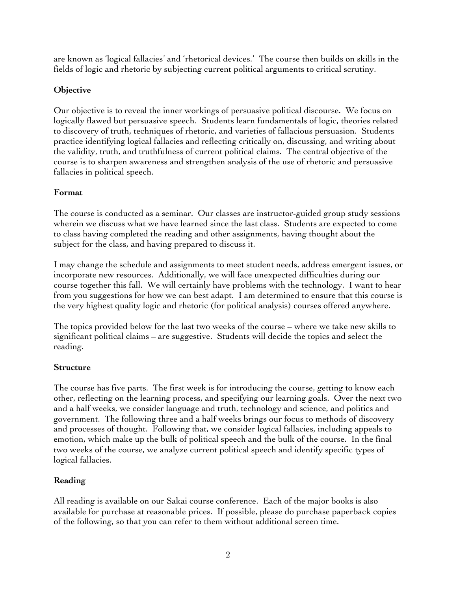are known as 'logical fallacies' and 'rhetorical devices.' The course then builds on skills in the fields of logic and rhetoric by subjecting current political arguments to critical scrutiny.

### **Objective**

Our objective is to reveal the inner workings of persuasive political discourse. We focus on logically flawed but persuasive speech. Students learn fundamentals of logic, theories related to discovery of truth, techniques of rhetoric, and varieties of fallacious persuasion. Students practice identifying logical fallacies and reflecting critically on, discussing, and writing about the validity, truth, and truthfulness of current political claims. The central objective of the course is to sharpen awareness and strengthen analysis of the use of rhetoric and persuasive fallacies in political speech.

### **Format**

The course is conducted as a seminar. Our classes are instructor-guided group study sessions wherein we discuss what we have learned since the last class. Students are expected to come to class having completed the reading and other assignments, having thought about the subject for the class, and having prepared to discuss it.

I may change the schedule and assignments to meet student needs, address emergent issues, or incorporate new resources. Additionally, we will face unexpected difficulties during our course together this fall. We will certainly have problems with the technology. I want to hear from you suggestions for how we can best adapt. I am determined to ensure that this course is the very highest quality logic and rhetoric (for political analysis) courses offered anywhere.

The topics provided below for the last two weeks of the course – where we take new skills to significant political claims – are suggestive. Students will decide the topics and select the reading.

### **Structure**

The course has five parts. The first week is for introducing the course, getting to know each other, reflecting on the learning process, and specifying our learning goals. Over the next two and a half weeks, we consider language and truth, technology and science, and politics and government. The following three and a half weeks brings our focus to methods of discovery and processes of thought. Following that, we consider logical fallacies, including appeals to emotion, which make up the bulk of political speech and the bulk of the course. In the final two weeks of the course, we analyze current political speech and identify specific types of logical fallacies.

### **Reading**

All reading is available on our Sakai course conference. Each of the major books is also available for purchase at reasonable prices. If possible, please do purchase paperback copies of the following, so that you can refer to them without additional screen time.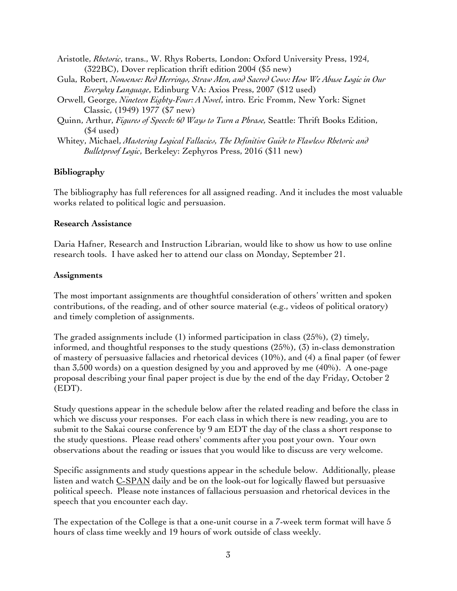- Aristotle, *Rhetoric*, trans., W. Rhys Roberts, London: Oxford University Press, 1924, (322BC), Dover replication thrift edition 2004 (\$5 new)
- Gula, Robert, *Nonsense: Red Herrings, Straw Men, and Sacred Cows: How We Abuse Logic in Our Everyday Language*, Edinburg VA: Axios Press, 2007 (\$12 used)
- Orwell, George, *Nineteen Eighty-Four: A Novel*, intro. Eric Fromm, New York: Signet Classic, (1949) 1977 (\$7 new)
- Quinn, Arthur, *Figures of Speech: 60 Ways to Turn a Phrase,* Seattle: Thrift Books Edition, (\$4 used)
- Whitey, Michael, *Mastering Logical Fallacies, The Definitive Guide to Flawless Rhetoric and Bulletproof Logic*, Berkeley: Zephyros Press, 2016 (\$11 new)

#### **Bibliography**

The bibliography has full references for all assigned reading. And it includes the most valuable works related to political logic and persuasion.

#### **Research Assistance**

Daria Hafner, Research and Instruction Librarian, would like to show us how to use online research tools. I have asked her to attend our class on Monday, September 21.

#### **Assignments**

The most important assignments are thoughtful consideration of others' written and spoken contributions, of the reading, and of other source material (e.g., videos of political oratory) and timely completion of assignments.

The graded assignments include (1) informed participation in class (25%), (2) timely, informed, and thoughtful responses to the study questions (25%), (3) in-class demonstration of mastery of persuasive fallacies and rhetorical devices (10%), and (4) a final paper (of fewer than 3,500 words) on a question designed by you and approved by me (40%). A one-page proposal describing your final paper project is due by the end of the day Friday, October 2 (EDT).

Study questions appear in the schedule below after the related reading and before the class in which we discuss your responses. For each class in which there is new reading, you are to submit to the Sakai course conference by 9 am EDT the day of the class a short response to the study questions. Please read others' comments after you post your own. Your own observations about the reading or issues that you would like to discuss are very welcome.

Specific assignments and study questions appear in the schedule below. Additionally, please listen and watch C-SPAN daily and be on the look-out for logically flawed but persuasive political speech. Please note instances of fallacious persuasion and rhetorical devices in the speech that you encounter each day.

The expectation of the College is that a one-unit course in a 7-week term format will have 5 hours of class time weekly and 19 hours of work outside of class weekly.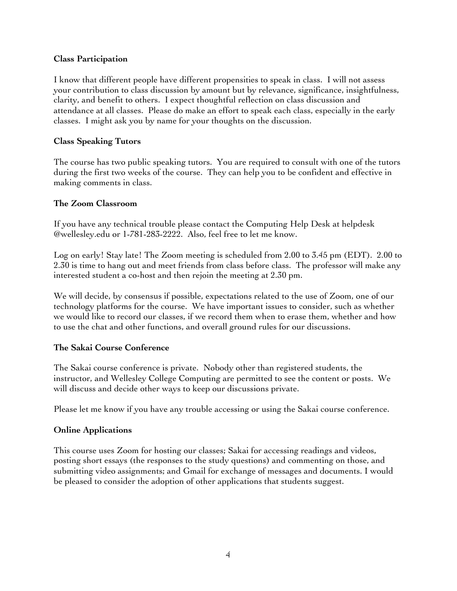### **Class Participation**

I know that different people have different propensities to speak in class. I will not assess your contribution to class discussion by amount but by relevance, significance, insightfulness, clarity, and benefit to others. I expect thoughtful reflection on class discussion and attendance at all classes. Please do make an effort to speak each class, especially in the early classes. I might ask you by name for your thoughts on the discussion.

### **Class Speaking Tutors**

The course has two public speaking tutors. You are required to consult with one of the tutors during the first two weeks of the course. They can help you to be confident and effective in making comments in class.

### **The Zoom Classroom**

If you have any technical trouble please contact the Computing Help Desk at helpdesk @wellesley.edu or 1-781-283-2222. Also, feel free to let me know.

Log on early! Stay late! The Zoom meeting is scheduled from 2.00 to 3.45 pm (EDT). 2.00 to 2.30 is time to hang out and meet friends from class before class. The professor will make any interested student a co-host and then rejoin the meeting at 2.30 pm.

We will decide, by consensus if possible, expectations related to the use of Zoom, one of our technology platforms for the course. We have important issues to consider, such as whether we would like to record our classes, if we record them when to erase them, whether and how to use the chat and other functions, and overall ground rules for our discussions.

### **The Sakai Course Conference**

The Sakai course conference is private. Nobody other than registered students, the instructor, and Wellesley College Computing are permitted to see the content or posts. We will discuss and decide other ways to keep our discussions private.

Please let me know if you have any trouble accessing or using the Sakai course conference.

### **Online Applications**

This course uses Zoom for hosting our classes; Sakai for accessing readings and videos, posting short essays (the responses to the study questions) and commenting on those, and submitting video assignments; and Gmail for exchange of messages and documents. I would be pleased to consider the adoption of other applications that students suggest.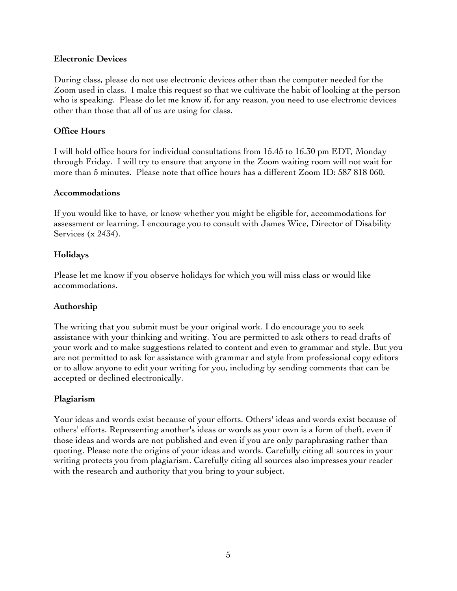### **Electronic Devices**

During class, please do not use electronic devices other than the computer needed for the Zoom used in class. I make this request so that we cultivate the habit of looking at the person who is speaking. Please do let me know if, for any reason, you need to use electronic devices other than those that all of us are using for class.

### **Office Hours**

I will hold office hours for individual consultations from 15.45 to 16.30 pm EDT, Monday through Friday. I will try to ensure that anyone in the Zoom waiting room will not wait for more than 5 minutes. Please note that office hours has a different Zoom ID: 587 818 060.

### **Accommodations**

If you would like to have, or know whether you might be eligible for, accommodations for assessment or learning, I encourage you to consult with James Wice, Director of Disability Services (x 2434).

### **Holidays**

Please let me know if you observe holidays for which you will miss class or would like accommodations.

### **Authorship**

The writing that you submit must be your original work. I do encourage you to seek assistance with your thinking and writing. You are permitted to ask others to read drafts of your work and to make suggestions related to content and even to grammar and style. But you are not permitted to ask for assistance with grammar and style from professional copy editors or to allow anyone to edit your writing for you, including by sending comments that can be accepted or declined electronically.

### **Plagiarism**

Your ideas and words exist because of your efforts. Others' ideas and words exist because of others' efforts. Representing another's ideas or words as your own is a form of theft, even if those ideas and words are not published and even if you are only paraphrasing rather than quoting. Please note the origins of your ideas and words. Carefully citing all sources in your writing protects you from plagiarism. Carefully citing all sources also impresses your reader with the research and authority that you bring to your subject.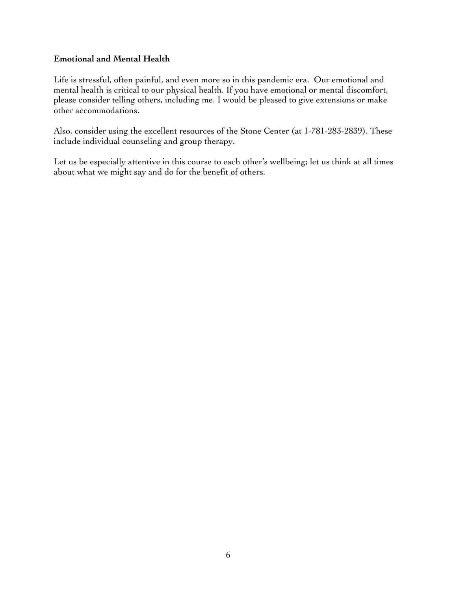### **Emotional and Mental Health**

Life is stressful, often painful, and even more so in this pandemic era. Our emotional and mental health is critical to our physical health. If you have emotional or mental discomfort, please consider telling others, including me. I would be pleased to give extensions or make other accommodations.

Also, consider using the excellent resources of the Stone Center (at 1-781-283-2839). These include individual counseling and group therapy.

Let us be especially attentive in this course to each other's wellbeing; let us think at all times about what we might say and do for the benefit of others.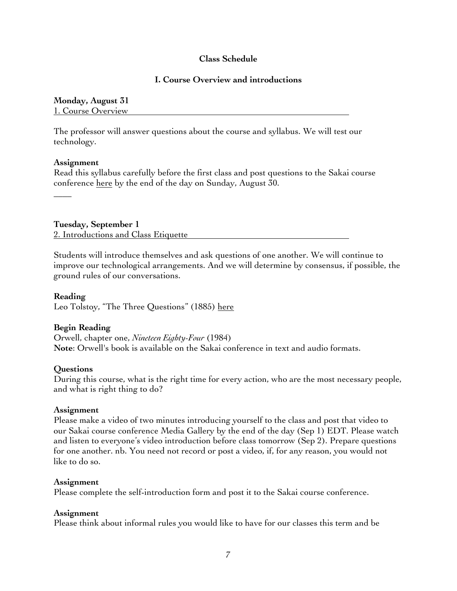### **Class Schedule**

#### **I. Course Overview and introductions**

#### **Monday, August 31** 1. Course Overview

The professor will answer questions about the course and syllabus. We will test our technology.

#### **Assignment**

 $\overline{\phantom{a}}$ 

Read this syllabus carefully before the first class and post questions to the Sakai course conference here by the end of the day on Sunday, August 30.

**Tuesday, September 1** 2. Introductions and Class Etiquette

Students will introduce themselves and ask questions of one another. We will continue to improve our technological arrangements. And we will determine by consensus, if possible, the ground rules of our conversations.

**Reading** Leo Tolstoy, "The Three Questions" (1885) here

### **Begin Reading**

Orwell, chapter one, *Nineteen Eighty-Four* (1984) **Note**: Orwell's book is available on the Sakai conference in text and audio formats.

### **Questions**

During this course, what is the right time for every action, who are the most necessary people, and what is right thing to do?

#### **Assignment**

Please make a video of two minutes introducing yourself to the class and post that video to our Sakai course conference Media Gallery by the end of the day (Sep 1) EDT. Please watch and listen to everyone's video introduction before class tomorrow (Sep 2). Prepare questions for one another. nb. You need not record or post a video, if, for any reason, you would not like to do so.

#### **Assignment**

Please complete the self-introduction form and post it to the Sakai course conference.

### **Assignment**

Please think about informal rules you would like to have for our classes this term and be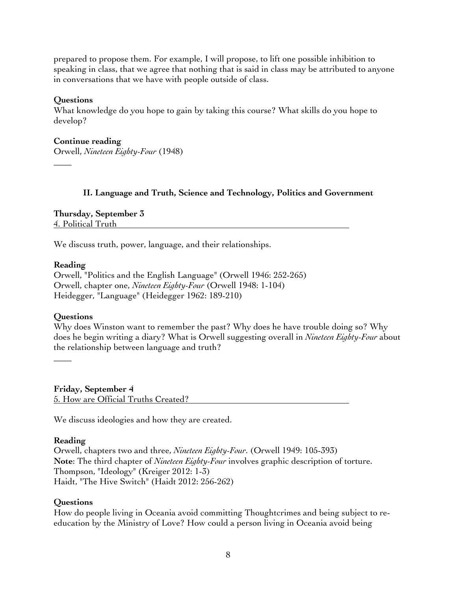prepared to propose them. For example, I will propose, to lift one possible inhibition to speaking in class, that we agree that nothing that is said in class may be attributed to anyone in conversations that we have with people outside of class.

### **Questions**

 $\overline{\phantom{a}}$ 

What knowledge do you hope to gain by taking this course? What skills do you hope to develop?

#### **Continue reading**

Orwell, *Nineteen Eighty-Four* (1948)

### **II. Language and Truth, Science and Technology, Politics and Government**

**Thursday, September 3** 4. Political Truth

We discuss truth, power, language, and their relationships.

### **Reading**

Orwell, "Politics and the English Language" (Orwell 1946: 252-265) Orwell, chapter one, *Nineteen Eighty-Four* (Orwell 1948: 1-104) Heidegger, "Language" (Heidegger 1962: 189-210)

### **Questions**

 $\overline{\phantom{a}}$ 

Why does Winston want to remember the past? Why does he have trouble doing so? Why does he begin writing a diary? What is Orwell suggesting overall in *Nineteen Eighty-Four* about the relationship between language and truth?

**Friday, September 4** 5. How are Official Truths Created?

We discuss ideologies and how they are created.

### **Reading**

Orwell, chapters two and three, *Nineteen Eighty-Four*. (Orwell 1949: 105-393) **Note**: The third chapter of *Nineteen Eighty-Four* involves graphic description of torture. Thompson, "Ideology" (Kreiger 2012: 1-3) Haidt, "The Hive Switch" (Haidt 2012: 256-262)

### **Questions**

How do people living in Oceania avoid committing Thoughtcrimes and being subject to reeducation by the Ministry of Love? How could a person living in Oceania avoid being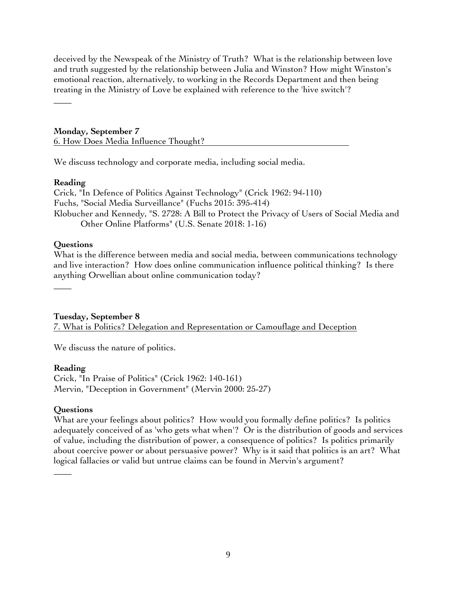deceived by the Newspeak of the Ministry of Truth? What is the relationship between love and truth suggested by the relationship between Julia and Winston? How might Winston's emotional reaction, alternatively, to working in the Records Department and then being treating in the Ministry of Love be explained with reference to the 'hive switch'?

 $\overline{\phantom{a}}$ 

### **Monday, September 7** 6. How Does Media Influence Thought?

We discuss technology and corporate media, including social media.

### **Reading**

Crick, "In Defence of Politics Against Technology" (Crick 1962: 94-110) Fuchs, "Social Media Surveillance" (Fuchs 2015: 395-414) Klobucher and Kennedy, "S. 2728: A Bill to Protect the Privacy of Users of Social Media and Other Online Platforms" (U.S. Senate 2018: 1-16)

### **Questions**

 $\overline{\phantom{a}}$ 

What is the difference between media and social media, between communications technology and live interaction? How does online communication influence political thinking? Is there anything Orwellian about online communication today?

### **Tuesday, September 8**

7. What is Politics? Delegation and Representation or Camouflage and Deception

We discuss the nature of politics.

### **Reading**

Crick, "In Praise of Politics" (Crick 1962: 140-161) Mervin, "Deception in Government" (Mervin 2000: 25-27)

### **Questions**

 $\overline{\phantom{a}}$ 

What are your feelings about politics? How would you formally define politics? Is politics adequately conceived of as 'who gets what when'? Or is the distribution of goods and services of value, including the distribution of power, a consequence of politics? Is politics primarily about coercive power or about persuasive power? Why is it said that politics is an art? What logical fallacies or valid but untrue claims can be found in Mervin's argument?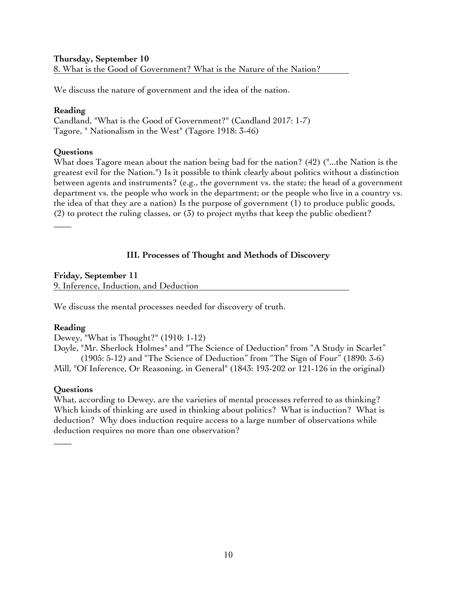### **Thursday, September 10** 8. What is the Good of Government? What is the Nature of the Nation?

We discuss the nature of government and the idea of the nation.

### **Reading**

Candland, "What is the Good of Government?" (Candland 2017: 1-7) Tagore, " Nationalism in the West" (Tagore 1918: 3-46)

### **Questions**

 $\overline{\phantom{a}}$ 

What does Tagore mean about the nation being bad for the nation? (42) ("...the Nation is the greatest evil for the Nation.") Is it possible to think clearly about politics without a distinction between agents and instruments? (e.g., the government vs. the state; the head of a government department vs. the people who work in the department; or the people who live in a country vs. the idea of that they are a nation) Is the purpose of government (1) to produce public goods, (2) to protect the ruling classes, or (3) to project myths that keep the public obedient?

### **III. Processes of Thought and Methods of Discovery**

#### **Friday, September 11** 9. Inference, Induction, and Deduction

We discuss the mental processes needed for discovery of truth.

### **Reading**

Dewey, "What is Thought?" (1910: 1-12)

Doyle, "Mr. Sherlock Holmes" and "The Science of Deduction" from "A Study in Scarlet" (1905: 5-12) and "The Science of Deduction" from "The Sign of Four" (1890: 3-6) Mill, "Of Inference, Or Reasoning, in General" (1843: 193-202 or 121-126 in the original)

### **Questions**

 $\overline{\phantom{a}}$ 

What, according to Dewey, are the varieties of mental processes referred to as thinking? Which kinds of thinking are used in thinking about politics? What is induction? What is deduction? Why does induction require access to a large number of observations while deduction requires no more than one observation?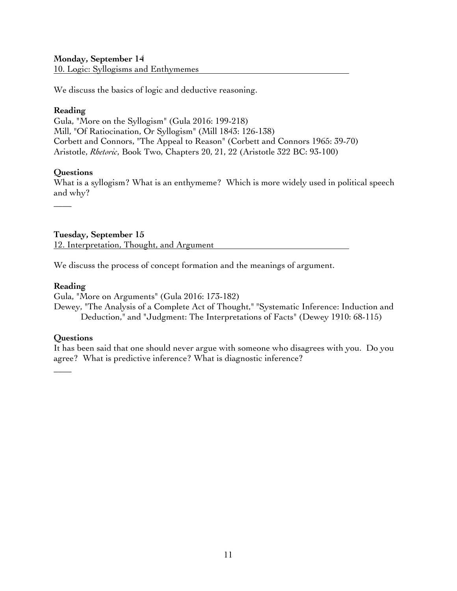### **Monday, September 14**

10. Logic: Syllogisms and Enthymemes

We discuss the basics of logic and deductive reasoning.

#### **Reading**

Gula, "More on the Syllogism" (Gula 2016: 199-218) Mill, "Of Ratiocination, Or Syllogism" (Mill 1843: 126-138) Corbett and Connors, "The Appeal to Reason" (Corbett and Connors 1965: 39-70) Aristotle, *Rhetoric*, Book Two, Chapters 20, 21, 22 (Aristotle 322 BC: 93-100)

### **Questions**

 $\overline{\phantom{a}}$ 

What is a syllogism? What is an enthymeme? Which is more widely used in political speech and why?

**Tuesday, September 15** 12. Interpretation, Thought, and Argument

We discuss the process of concept formation and the meanings of argument.

#### **Reading**

Gula, "More on Arguments" (Gula 2016: 173-182)

Dewey, "The Analysis of a Complete Act of Thought," "Systematic Inference: Induction and Deduction," and "Judgment: The Interpretations of Facts" (Dewey 1910: 68-115)

### **Questions**

 $\overline{\phantom{a}}$ 

It has been said that one should never argue with someone who disagrees with you. Do you agree? What is predictive inference? What is diagnostic inference?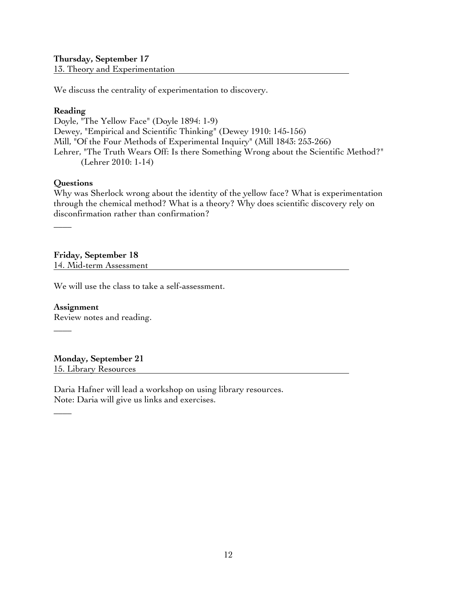### **Thursday, September 17** 13. Theory and Experimentation

We discuss the centrality of experimentation to discovery.

### **Reading**

Doyle, "The Yellow Face" (Doyle 1894: 1-9) Dewey, "Empirical and Scientific Thinking" (Dewey 1910: 145-156) Mill, "Of the Four Methods of Experimental Inquiry" (Mill 1843: 253-266) Lehrer, "The Truth Wears Off: Is there Something Wrong about the Scientific Method?" (Lehrer 2010: 1-14)

### **Questions**

 $\overline{\phantom{a}}$ 

 $\overline{\phantom{a}}$ 

 $\overline{\phantom{a}}$ 

Why was Sherlock wrong about the identity of the yellow face? What is experimentation through the chemical method? What is a theory? Why does scientific discovery rely on disconfirmation rather than confirmation?

**Friday, September 18** 14. Mid-term Assessment

We will use the class to take a self-assessment.

**Assignment** Review notes and reading.

**Monday, September 21** 15. Library Resources

Daria Hafner will lead a workshop on using library resources. Note: Daria will give us links and exercises.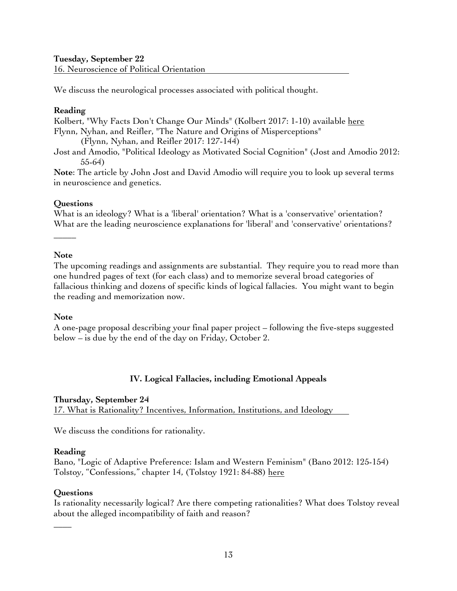### **Tuesday, September 22** 16. Neuroscience of Political Orientation

We discuss the neurological processes associated with political thought.

### **Reading**

Kolbert, "Why Facts Don't Change Our Minds" (Kolbert 2017: 1-10) available here Flynn, Nyhan, and Reifler, "The Nature and Origins of Misperceptions" (Flynn, Nyhan, and Reifler 2017: 127-144)

Jost and Amodio, "Political Ideology as Motivated Social Cognition" (Jost and Amodio 2012: 55-64)

**Note**: The article by John Jost and David Amodio will require you to look up several terms in neuroscience and genetics.

### **Questions**

What is an ideology? What is a 'liberal' orientation? What is a 'conservative' orientation? What are the leading neuroscience explanations for 'liberal' and 'conservative' orientations?

### **Note**

**\_\_\_\_\_**

The upcoming readings and assignments are substantial. They require you to read more than one hundred pages of text (for each class) and to memorize several broad categories of fallacious thinking and dozens of specific kinds of logical fallacies. You might want to begin the reading and memorization now.

### **Note**

A one-page proposal describing your final paper project – following the five-steps suggested below – is due by the end of the day on Friday, October 2.

### **IV. Logical Fallacies, including Emotional Appeals**

### **Thursday, September 24**

17. What is Rationality? Incentives, Information, Institutions, and Ideology

We discuss the conditions for rationality.

### **Reading**

Bano, "Logic of Adaptive Preference: Islam and Western Feminism" (Bano 2012: 125-154) Tolstoy, "Confessions," chapter 14, (Tolstoy 1921: 84-88) here

### **Questions**

**\_\_\_\_**

Is rationality necessarily logical? Are there competing rationalities? What does Tolstoy reveal about the alleged incompatibility of faith and reason?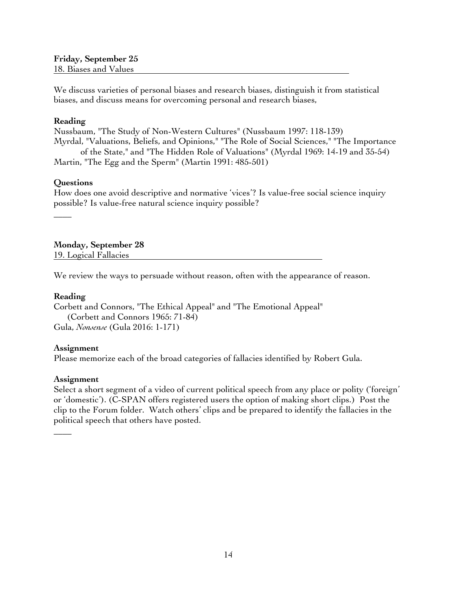**Friday, September 25** 18. Biases and Values

We discuss varieties of personal biases and research biases, distinguish it from statistical biases, and discuss means for overcoming personal and research biases,

#### **Reading**

Nussbaum, "The Study of Non-Western Cultures" (Nussbaum 1997: 118-139) Myrdal, "Valuations, Beliefs, and Opinions," "The Role of Social Sciences," "The Importance of the State," and "The Hidden Role of Valuations" (Myrdal 1969: 14-19 and 35-54) Martin, "The Egg and the Sperm" (Martin 1991: 485-501)

#### **Questions**

 $\overline{\phantom{a}}$ 

How does one avoid descriptive and normative 'vices'? Is value-free social science inquiry possible? Is value-free natural science inquiry possible?

**Monday, September 28** 19. Logical Fallacies

We review the ways to persuade without reason, often with the appearance of reason.

#### **Reading**

Corbett and Connors, "The Ethical Appeal" and "The Emotional Appeal" (Corbett and Connors 1965: 71-84) Gula, *Nonsense* (Gula 2016: 1-171)

#### **Assignment**

Please memorize each of the broad categories of fallacies identified by Robert Gula.

#### **Assignment**

 $\overline{\phantom{a}}$ 

Select a short segment of a video of current political speech from any place or polity ('foreign' or 'domestic'). (C-SPAN offers registered users the option of making short clips.) Post the clip to the Forum folder. Watch others' clips and be prepared to identify the fallacies in the political speech that others have posted.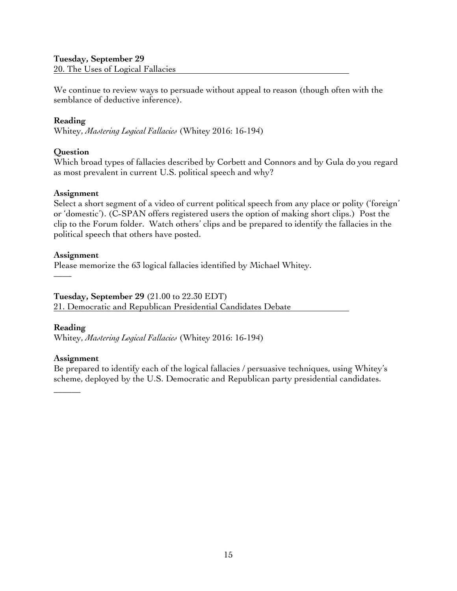# **Tuesday, September 29**

20. The Uses of Logical Fallacies

We continue to review ways to persuade without appeal to reason (though often with the semblance of deductive inference).

### **Reading**

Whitey, *Mastering Logical Fallacies* (Whitey 2016: 16-194)

### **Question**

Which broad types of fallacies described by Corbett and Connors and by Gula do you regard as most prevalent in current U.S. political speech and why?

### **Assignment**

Select a short segment of a video of current political speech from any place or polity ('foreign' or 'domestic'). (C-SPAN offers registered users the option of making short clips.) Post the clip to the Forum folder. Watch others' clips and be prepared to identify the fallacies in the political speech that others have posted.

### **Assignment**

Please memorize the 63 logical fallacies identified by Michael Whitey.

### **Tuesday, September 29** (21.00 to 22.30 EDT)

21. Democratic and Republican Presidential Candidates Debate

### **Reading**

\_\_\_\_\_\_

––––

Whitey, *Mastering Logical Fallacies* (Whitey 2016: 16-194)

### **Assignment**

Be prepared to identify each of the logical fallacies / persuasive techniques, using Whitey's scheme, deployed by the U.S. Democratic and Republican party presidential candidates.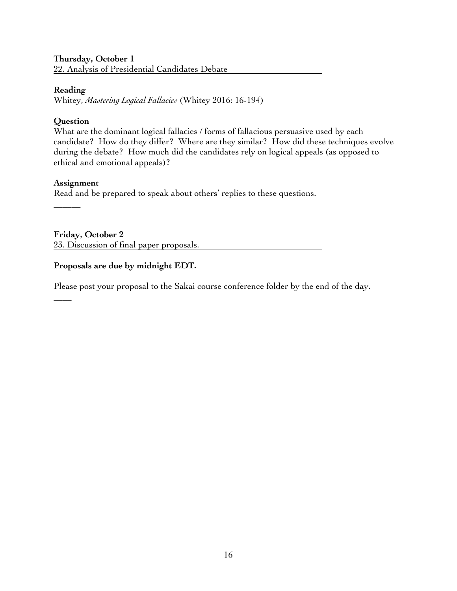# **Thursday, October 1**

22. Analysis of Presidential Candidates Debate

### **Reading**

Whitey, *Mastering Logical Fallacies* (Whitey 2016: 16-194)

### **Question**

What are the dominant logical fallacies / forms of fallacious persuasive used by each candidate? How do they differ? Where are they similar? How did these techniques evolve during the debate? How much did the candidates rely on logical appeals (as opposed to ethical and emotional appeals)?

### **Assignment**

\_\_\_\_\_\_

 $\overline{\phantom{a}}$ 

Read and be prepared to speak about others' replies to these questions.

**Friday, October 2**  23. Discussion of final paper proposals.

### **Proposals are due by midnight EDT.**

Please post your proposal to the Sakai course conference folder by the end of the day.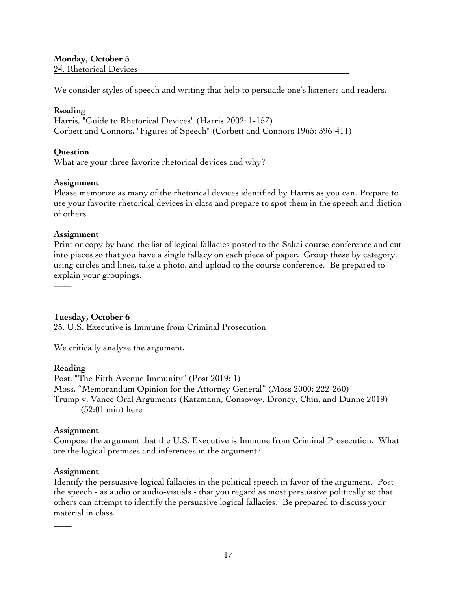**Monday, October 5** 24. Rhetorical Devices

We consider styles of speech and writing that help to persuade one's listeners and readers.

### **Reading**

Harris, "Guide to Rhetorical Devices" (Harris 2002: 1-157) Corbett and Connors, "Figures of Speech" (Corbett and Connors 1965: 396-411)

### **Question**

What are your three favorite rhetorical devices and why?

### **Assignment**

Please memorize as many of the rhetorical devices identified by Harris as you can. Prepare to use your favorite rhetorical devices in class and prepare to spot them in the speech and diction of others.

### **Assignment**

Print or copy by hand the list of logical fallacies posted to the Sakai course conference and cut into pieces so that you have a single fallacy on each piece of paper. Group these by category, using circles and lines, take a photo, and upload to the course conference. Be prepared to explain your groupings.

**Tuesday, October 6**

25. U.S. Executive is Immune from Criminal Prosecution

We critically analyze the argument.

### **Reading**

––––

Post, "The Fifth Avenue Immunity" (Post 2019: 1) Moss, "Memorandum Opinion for the Attorney General" (Moss 2000: 222-260) Trump v. Vance Oral Arguments (Katzmann, Consovoy, Droney, Chin, and Dunne 2019) (52:01 min) here

### **Assignment**

Compose the argument that the U.S. Executive is Immune from Criminal Prosecution. What are the logical premises and inferences in the argument?

### **Assignment**

 $\overline{\phantom{a}}$ 

Identify the persuasive logical fallacies in the political speech in favor of the argument. Post the speech - as audio or audio-visuals - that you regard as most persuasive politically so that others can attempt to identify the persuasive logical fallacies. Be prepared to discuss your material in class.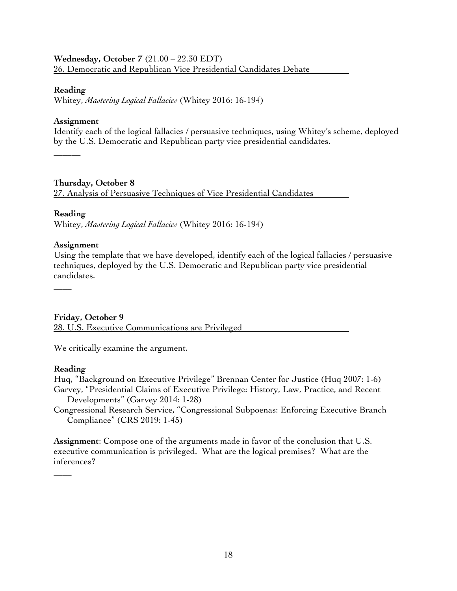### **Wednesday, October 7** (21.00 – 22.30 EDT) 26. Democratic and Republican Vice Presidential Candidates Debate

#### **Reading**

Whitey, *Mastering Logical Fallacies* (Whitey 2016: 16-194)

### **Assignment**

Identify each of the logical fallacies / persuasive techniques, using Whitey's scheme, deployed by the U.S. Democratic and Republican party vice presidential candidates.

**Thursday, October 8**

27. Analysis of Persuasive Techniques of Vice Presidential Candidates

### **Reading**

 $\overline{\phantom{a}}$ 

 $\overline{\phantom{a}}$ 

Whitey, *Mastering Logical Fallacies* (Whitey 2016: 16-194)

### **Assignment**

Using the template that we have developed, identify each of the logical fallacies / persuasive techniques, deployed by the U.S. Democratic and Republican party vice presidential candidates.

### **Friday, October 9**

28. U.S. Executive Communications are Privileged

We critically examine the argument.

### **Reading**

 $\overline{\phantom{a}}$ 

Huq, "Background on Executive Privilege" Brennan Center for Justice (Huq 2007: 1-6) Garvey, "Presidential Claims of Executive Privilege: History, Law, Practice, and Recent Developments" (Garvey 2014: 1-28)

Congressional Research Service, "Congressional Subpoenas: Enforcing Executive Branch Compliance" (CRS 2019: 1-45)

**Assignment**: Compose one of the arguments made in favor of the conclusion that U.S. executive communication is privileged. What are the logical premises? What are the inferences?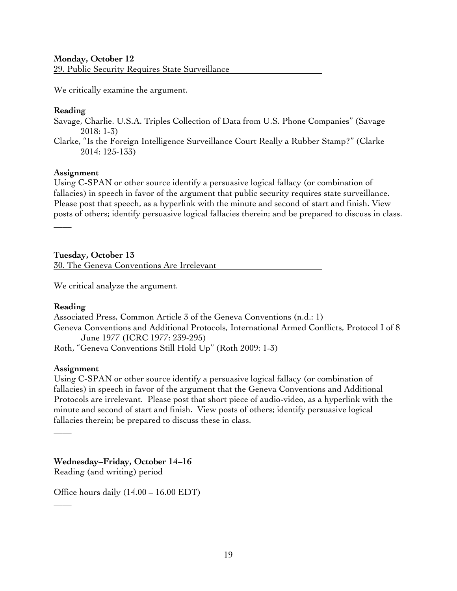### **Monday, October 12**

29. Public Security Requires State Surveillance

We critically examine the argument.

### **Reading**

Savage, Charlie. U.S.A. Triples Collection of Data from U.S. Phone Companies" (Savage 2018: 1-3)

Clarke, "Is the Foreign Intelligence Surveillance Court Really a Rubber Stamp?" (Clarke 2014: 125-133)

### **Assignment**

Using C-SPAN or other source identify a persuasive logical fallacy (or combination of fallacies) in speech in favor of the argument that public security requires state surveillance. Please post that speech, as a hyperlink with the minute and second of start and finish. View posts of others; identify persuasive logical fallacies therein; and be prepared to discuss in class.

**Tuesday, October 13** 30. The Geneva Conventions Are Irrelevant

We critical analyze the argument.

### **Reading**

 $\overline{\phantom{a}}$ 

Associated Press, Common Article 3 of the Geneva Conventions (n.d.: 1) Geneva Conventions and Additional Protocols, International Armed Conflicts, Protocol I of 8 June 1977 (ICRC 1977: 239-295) Roth, "Geneva Conventions Still Hold Up" (Roth 2009: 1-3)

### **Assignment**

 $\overline{\phantom{a}}$ 

 $\overline{\phantom{a}}$ 

Using C-SPAN or other source identify a persuasive logical fallacy (or combination of fallacies) in speech in favor of the argument that the Geneva Conventions and Additional Protocols are irrelevant. Please post that short piece of audio-video, as a hyperlink with the minute and second of start and finish. View posts of others; identify persuasive logical fallacies therein; be prepared to discuss these in class.

**Wednesday–Friday, October 14–16**

Reading (and writing) period

Office hours daily (14.00 – 16.00 EDT)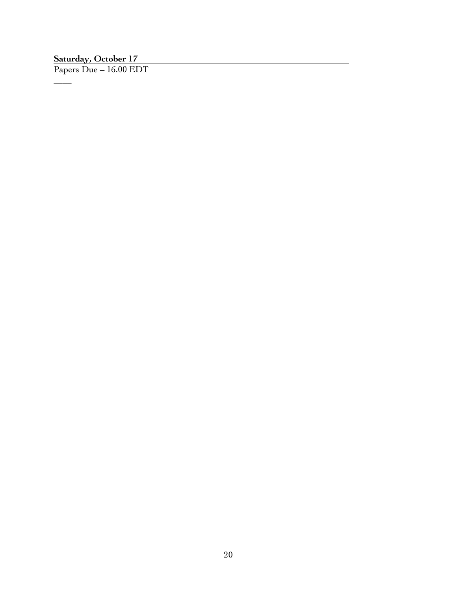### **Saturday, October 17**

 $\overline{\phantom{a}}$ 

Papers Due **–** 16.00 EDT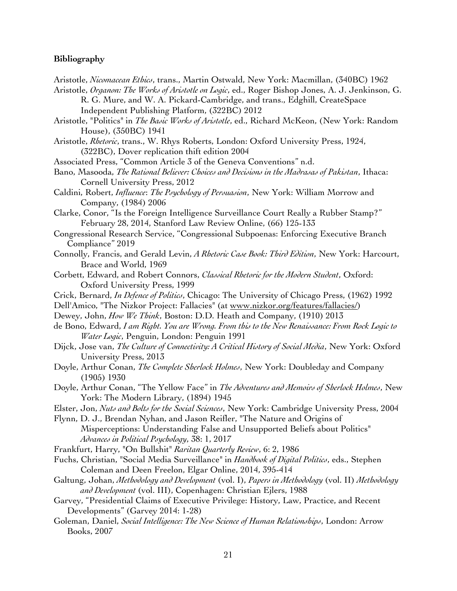#### **Bibliography**

- Aristotle, *Nicomacean Ethics*, trans., Martin Ostwald, New York: Macmillan, (340BC) 1962
- Aristotle, *Organon: The Works of Aristotle on Logic*, ed., Roger Bishop Jones, A. J. Jenkinson, G. R. G. Mure, and W. A. Pickard-Cambridge, and trans., Edghill, CreateSpace Independent Publishing Platform, (322BC) 2012
- Aristotle, "Politics" in *The Basic Works of Aristotle*, ed., Richard McKeon, (New York: Random House), (350BC) 1941
- Aristotle, *Rhetoric*, trans., W. Rhys Roberts, London: Oxford University Press, 1924, (322BC), Dover replication thift edition 2004
- Associated Press, "Common Article 3 of the Geneva Conventions" n.d.
- Bano, Masooda, *The Rational Believer: Choices and Decisions in the Madrasas of Pakistan*, Ithaca: Cornell University Press, 2012
- Caldini, Robert, *Influence*: *The Psychology of Persuasion*, New York: William Morrow and Company, (1984) 2006
- Clarke, Conor, "Is the Foreign Intelligence Surveillance Court Really a Rubber Stamp?" February 28, 2014, Stanford Law Review Online, (66) 125-133
- Congressional Research Service, "Congressional Subpoenas: Enforcing Executive Branch Compliance" 2019
- Connolly, Francis, and Gerald Levin, *A Rhetoric Case Book: Third Edition*, New York: Harcourt, Brace and World, 1969
- Corbett, Edward, and Robert Connors, *Classical Rhetoric for the Modern Student*, Oxford: Oxford University Press, 1999
- Crick, Bernard, *In Defence of Politics*, Chicago: The University of Chicago Press, (1962) 1992
- Dell'Amico, "The Nizkor Project: Fallacies" (at www.nizkor.org/features/fallacies/)
- Dewey, John, *How We Think*, Boston: D.D. Heath and Company, (1910) 2013
- de Bono, Edward, *I am Right. You are Wrong. From this to the New Renaissance: From Rock Logic to Water Logic*, Penguin, London: Penguin 1991
- Dijck, Jose van, *The Culture of Connectivity: A Critical History of Social Media*, New York: Oxford University Press, 2013
- Doyle, Arthur Conan, *The Complete Sherlock Holmes*, New York: Doubleday and Company (1905) 1930
- Doyle, Arthur Conan, "The Yellow Face" in *The Adventures and Memoirs of Sherlock Holmes*, New York: The Modern Library, (1894) 1945
- Elster, Jon, *Nuts and Bolts for the Social Sciences*, New York: Cambridge University Press, 2004
- Flynn, D. J., Brendan Nyhan, and Jason Reifler, "The Nature and Origins of Misperceptions: Understanding False and Unsupported Beliefs about Politics" *Advances in Political Psychology*, 38: 1, 2017
- Frankfurt, Harry, "On Bullshit" *Raritan Quarterly Review*, 6: 2, 1986
- Fuchs, Christian, "Social Media Surveillance" in *Handbook of Digital Politics*, eds., Stephen Coleman and Deen Freelon, Elgar Online, 2014, 395-414
- Galtung, Johan, *Methodology and Development* (vol. I), *Papers in Methodology* (vol. II) *Methodology and Development* (vol. III), Copenhagen: Christian Ejlers, 1988
- Garvey, "Presidential Claims of Executive Privilege: History, Law, Practice, and Recent Developments" (Garvey 2014: 1-28)
- Goleman, Daniel, *Social Intelligence: The New Science of Human Relationships*, London: Arrow Books, 2007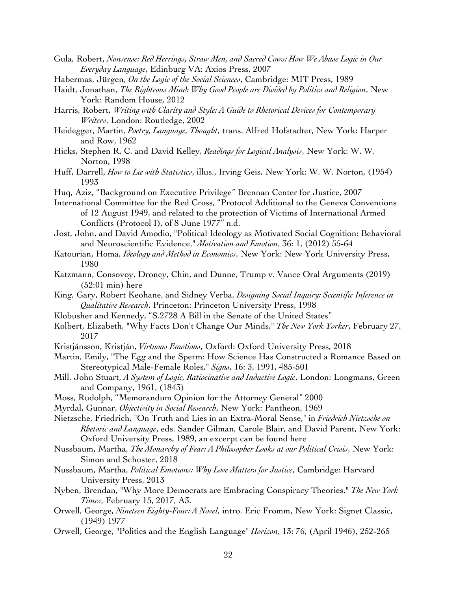- Gula, Robert, *Nonsense: Red Herrings, Straw Men, and Sacred Cows: How We Abuse Logic in Our Everyday Language*, Edinburg VA: Axios Press, 2007
- Habermas, Jürgen, *On the Logic of the Social Sciences*, Cambridge: MIT Press, 1989
- Haidt, Jonathan, *The Righteous Mind: Why Good People are Divided by Politics and Religion*, New York: Random House, 2012
- Harris, Robert, *Writing with Clarity and Style: A Guide to Rhetorical Devices for Contemporary Writers*, London: Routledge, 2002
- Heidegger, Martin, *Poetry, Language, Thought*, trans. Alfred Hofstadter, New York: Harper and Row, 1962
- Hicks, Stephen R. C. and David Kelley, *Readings for Logical Analysis*, New York: W. W. Norton, 1998
- Huff, Darrell, *How to Lie with Statistics*, illus., Irving Geis, New York: W. W. Norton, (1954) 1993
- Huq, Aziz, "Background on Executive Privilege" Brennan Center for Justice, 2007
- International Committee for the Red Cross, "Protocol Additional to the Geneva Conventions of 12 August 1949, and related to the protection of Victims of International Armed Conflicts (Protocol I), of 8 June 1977" n.d.
- Jost, John, and David Amodio, "Political Ideology as Motivated Social Cognition: Behavioral and Neuroscientific Evidence," *Motivation and Emotion*, 36: 1, (2012) 55-64
- Katourian, Homa, *Ideology and Method in Economics*, New York: New York University Press, 1980
- Katzmann, Consovoy, Droney, Chin, and Dunne, Trump v. Vance Oral Arguments (2019) (52:01 min) here
- King, Gary, Robert Keohane, and Sidney Verba, *Designing Social Inquiry: Scientific Inference in Qualitative Research*, Princeton: Princeton University Press, 1998
- Klobusher and Kennedy, "S.2728 A Bill in the Senate of the United States"
- Kolbert, Elizabeth, "Why Facts Don't Change Our Minds," *The New York Yorker*, February 27, 2017
- Kristjánsson, Kristján, *Virtuous Emotions*, Oxford: Oxford University Press, 2018
- Martin, Emily, "The Egg and the Sperm: How Science Has Constructed a Romance Based on Stereotypical Male-Female Roles," *Signs*, 16: 3, 1991, 485-501
- Mill, John Stuart, *A System of Logic, Ratiocinative and Inductive Logic*, London: Longmans, Green and Company, 1961, (1843)
- Moss, Rudolph, "Memorandum Opinion for the Attorney General" 2000
- Myrdal, Gunnar, *Objectivity in Social Research*, New York: Pantheon, 1969
- Nietzsche, Friedrich, "On Truth and Lies in an Extra-Moral Sense," in *Friedrich Nietzsche on Rhetoric and Language*, eds. Sander Gilman, Carole Blair, and David Parent, New York: Oxford University Press, 1989, an excerpt can be found here
- Nussbaum, Martha, *The Monarchy of Fear: A Philosopher Looks at our Political Crisis*, New York: Simon and Schuster, 2018
- Nussbaum, Martha, *Political Emotions: Why Love Matters for Justice*, Cambridge: Harvard University Press, 2013
- Nyben, Brendan, "Why More Democrats are Embracing Conspiracy Theories," *The New York Times*, February 15, 2017, A3.
- Orwell, George, *Nineteen Eighty-Four: A Novel*, intro. Eric Fromm, New York: Signet Classic, (1949) 1977
- Orwell, George, "Politics and the English Language" *Horizon*, 13: 76, (April 1946), 252-265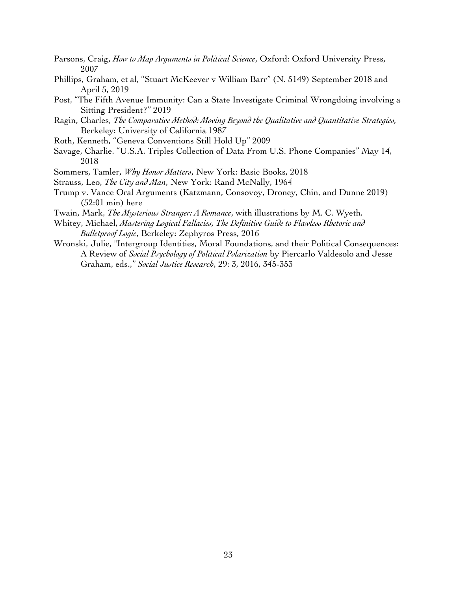- Parsons, Craig, *How to Map Arguments in Political Science*, Oxford: Oxford University Press, 2007
- Phillips, Graham, et al, "Stuart McKeever v William Barr" (N. 5149) September 2018 and April 5, 2019
- Post, "The Fifth Avenue Immunity: Can a State Investigate Criminal Wrongdoing involving a Sitting President?" 2019
- Ragin, Charles, *The Comparative Method: Moving Beyond the Qualitative and Quantitative Strategies,* Berkeley: University of California 1987
- Roth, Kenneth, "Geneva Conventions Still Hold Up" 2009
- Savage, Charlie. "U.S.A. Triples Collection of Data From U.S. Phone Companies" May 14, 2018
- Sommers, Tamler, *Why Honor Matters*, New York: Basic Books, 2018
- Strauss, Leo, *The City and Man*, New York: Rand McNally, 1964
- Trump v. Vance Oral Arguments (Katzmann, Consovoy, Droney, Chin, and Dunne 2019) (52:01 min) here
- Twain, Mark, *The Mysterious Stranger: A Romance*, with illustrations by M. C. Wyeth,
- Whitey, Michael, *Mastering Logical Fallacies, The Definitive Guide to Flawless Rhetoric and Bulletproof Logic*, Berkeley: Zephyros Press, 2016
- Wronski, Julie, "Intergroup Identities, Moral Foundations, and their Political Consequences: A Review of *Social Psychology of Political Polarization* by Piercarlo Valdesolo and Jesse Graham, eds.," *Social Justice Research*, 29: 3, 2016, 345-353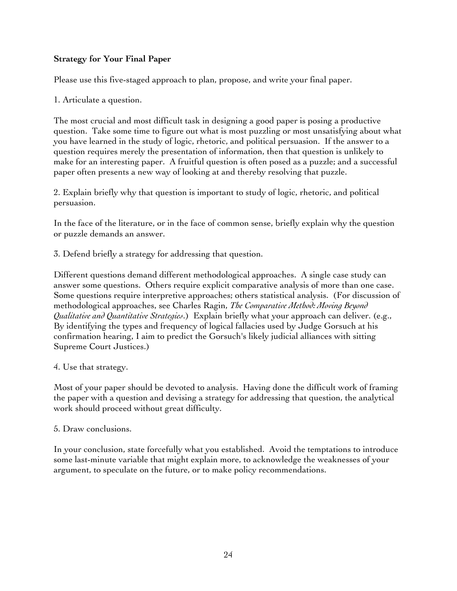### **Strategy for Your Final Paper**

Please use this five-staged approach to plan, propose, and write your final paper.

1. Articulate a question.

The most crucial and most difficult task in designing a good paper is posing a productive question. Take some time to figure out what is most puzzling or most unsatisfying about what you have learned in the study of logic, rhetoric, and political persuasion. If the answer to a question requires merely the presentation of information, then that question is unlikely to make for an interesting paper. A fruitful question is often posed as a puzzle; and a successful paper often presents a new way of looking at and thereby resolving that puzzle.

2. Explain briefly why that question is important to study of logic, rhetoric, and political persuasion.

In the face of the literature, or in the face of common sense, briefly explain why the question or puzzle demands an answer.

3. Defend briefly a strategy for addressing that question.

Different questions demand different methodological approaches. A single case study can answer some questions. Others require explicit comparative analysis of more than one case. Some questions require interpretive approaches; others statistical analysis. (For discussion of methodological approaches, see Charles Ragin, *The Comparative Method: Moving Beyond Qualitative and Quantitative Strategies*.) Explain briefly what your approach can deliver. (e.g., By identifying the types and frequency of logical fallacies used by Judge Gorsuch at his confirmation hearing, I aim to predict the Gorsuch's likely judicial alliances with sitting Supreme Court Justices.)

### 4. Use that strategy.

Most of your paper should be devoted to analysis. Having done the difficult work of framing the paper with a question and devising a strategy for addressing that question, the analytical work should proceed without great difficulty.

### 5. Draw conclusions.

In your conclusion, state forcefully what you established. Avoid the temptations to introduce some last-minute variable that might explain more, to acknowledge the weaknesses of your argument, to speculate on the future, or to make policy recommendations.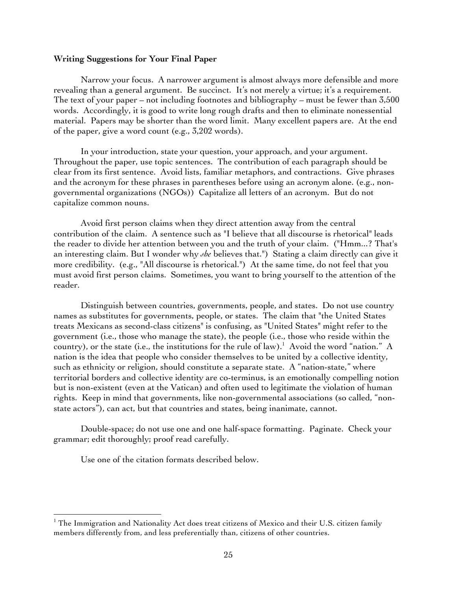#### **Writing Suggestions for Your Final Paper**

Narrow your focus. A narrower argument is almost always more defensible and more revealing than a general argument. Be succinct. It's not merely a virtue; it's a requirement. The text of your paper – not including footnotes and bibliography – must be fewer than 3,500 words. Accordingly, it is good to write long rough drafts and then to eliminate nonessential material. Papers may be shorter than the word limit. Many excellent papers are. At the end of the paper, give a word count (e.g., 3,202 words).

In your introduction, state your question, your approach, and your argument. Throughout the paper, use topic sentences. The contribution of each paragraph should be clear from its first sentence. Avoid lists, familiar metaphors, and contractions. Give phrases and the acronym for these phrases in parentheses before using an acronym alone. (e.g., nongovernmental organizations (NGOs)) Capitalize all letters of an acronym. But do not capitalize common nouns.

Avoid first person claims when they direct attention away from the central contribution of the claim. A sentence such as "I believe that all discourse is rhetorical" leads the reader to divide her attention between you and the truth of your claim. ("Hmm...? That's an interesting claim. But I wonder why *she* believes that.") Stating a claim directly can give it more credibility. (e.g., "All discourse is rhetorical.") At the same time, do not feel that you must avoid first person claims. Sometimes, you want to bring yourself to the attention of the reader.

Distinguish between countries, governments, people, and states. Do not use country names as substitutes for governments, people, or states. The claim that "the United States treats Mexicans as second-class citizens" is confusing, as "United States" might refer to the government (i.e., those who manage the state), the people (i.e., those who reside within the country), or the state (i.e., the institutions for the rule of law). 1 Avoid the word "nation." A nation is the idea that people who consider themselves to be united by a collective identity, such as ethnicity or religion, should constitute a separate state. A "nation-state," where territorial borders and collective identity are co-terminus, is an emotionally compelling notion but is non-existent (even at the Vatican) and often used to legitimate the violation of human rights. Keep in mind that governments, like non-governmental associations (so called, "nonstate actors"), can act, but that countries and states, being inanimate, cannot.

Double-space; do not use one and one half-space formatting. Paginate. Check your grammar; edit thoroughly; proof read carefully.

Use one of the citation formats described below.

 

<sup>&</sup>lt;sup>1</sup> The Immigration and Nationality Act does treat citizens of Mexico and their U.S. citizen family members differently from, and less preferentially than, citizens of other countries.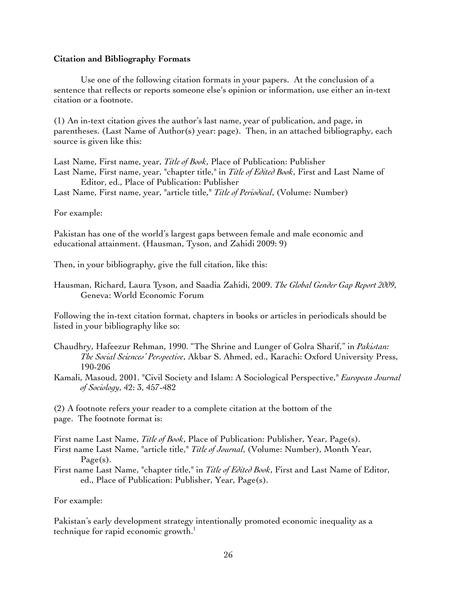#### **Citation and Bibliography Formats**

Use one of the following citation formats in your papers. At the conclusion of a sentence that reflects or reports someone else's opinion or information, use either an in-text citation or a footnote.

(1) An in-text citation gives the author's last name, year of publication, and page, in parentheses. (Last Name of Author(s) year: page). Then, in an attached bibliography, each source is given like this:

Last Name, First name, year, *Title of Book*, Place of Publication: Publisher Last Name, First name, year, "chapter title," in *Title of Edited Book*, First and Last Name of Editor, ed., Place of Publication: Publisher

Last Name, First name, year, "article title," *Title of Periodical*, (Volume: Number)

For example:

Pakistan has one of the world's largest gaps between female and male economic and educational attainment. (Hausman, Tyson, and Zahidi 2009: 9)

Then, in your bibliography, give the full citation, like this:

Hausman, Richard, Laura Tyson, and Saadia Zahidi, 2009. *The Global Gender Gap Report 2009*, Geneva: World Economic Forum

Following the in-text citation format, chapters in books or articles in periodicals should be listed in your bibliography like so:

- Chaudhry, Hafeezur Rehman, 1990. "The Shrine and Lunger of Golra Sharif," in *Pakistan: The Social Sciences' Perspective*, Akbar S. Ahmed, ed., Karachi: Oxford University Press, 190-206
- Kamali, Masoud, 2001. "Civil Society and Islam: A Sociological Perspective," *European Journal of Sociology*, 42: 3, 457-482

(2) A footnote refers your reader to a complete citation at the bottom of the page. The footnote format is:

First name Last Name, *Title of Book*, Place of Publication: Publisher, Year, Page(s).

First name Last Name, "article title," *Title of Journal*, (Volume: Number), Month Year, Page(s).

First name Last Name, "chapter title," in *Title of Edited Book*, First and Last Name of Editor, ed., Place of Publication: Publisher, Year, Page(s).

For example:

Pakistan's early development strategy intentionally promoted economic inequality as a technique for rapid economic growth.<sup>1</sup>